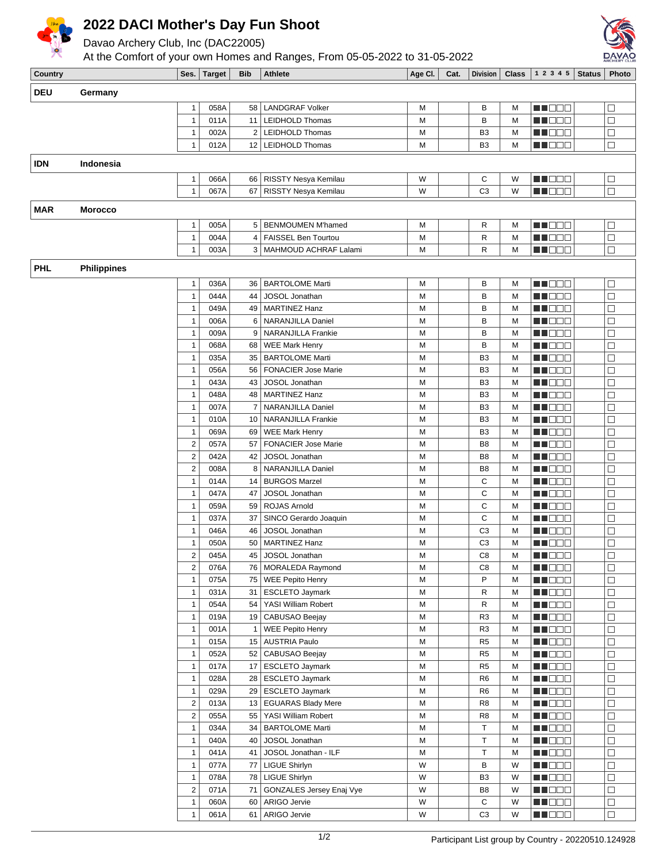

## **2022 DACI Mother's Day Fun Shoot**

Davao Archery Club, Inc (DAC22005)

At the Comfort of your own Homes and Ranges, From 05-05-2022 to 31-05-2022



| Country    |                    |                              | Ses. Target  | Bib            | <b>Athlete</b>                  | Age CI. | Cat. | Division                         | <b>Class</b> | 12345           | Status | Photo            |
|------------|--------------------|------------------------------|--------------|----------------|---------------------------------|---------|------|----------------------------------|--------------|-----------------|--------|------------------|
| <b>DEU</b> | Germany            |                              |              |                |                                 |         |      |                                  |              |                 |        |                  |
|            |                    |                              |              |                | 58   LANDGRAF Volker            |         |      |                                  |              |                 |        |                  |
|            |                    | $\mathbf{1}$<br>$\mathbf{1}$ | 058A<br>011A | 11             | <b>LEIDHOLD Thomas</b>          | М<br>М  |      | в<br>B                           | М<br>M       | MN 888          |        | $\Box$           |
|            |                    | $\mathbf{1}$                 |              |                |                                 |         |      |                                  |              | ME DE S         |        | $\Box$<br>$\Box$ |
|            |                    | $\mathbf{1}$                 | 002A<br>012A | 2              | <b>LEIDHOLD Thomas</b>          | М<br>М  |      | B <sub>3</sub><br>B <sub>3</sub> | M<br>М       | N DE S          |        | $\Box$           |
|            |                    |                              |              |                | 12   LEIDHOLD Thomas            |         |      |                                  |              | MA MA M         |        |                  |
| <b>IDN</b> | Indonesia          |                              |              |                |                                 |         |      |                                  |              |                 |        |                  |
|            |                    | 1                            | 066A         | 66             | RISSTY Nesya Kemilau            | W       |      | C                                | W            | <b>RENDER</b>   |        | $\Box$           |
|            |                    | $\mathbf{1}$                 | 067A         | 67             | RISSTY Nesya Kemilau            | W       |      | C <sub>3</sub>                   | W            | M OO O          |        | $\Box$           |
|            |                    |                              |              |                |                                 |         |      |                                  |              |                 |        |                  |
| MAR        | <b>Morocco</b>     |                              |              |                |                                 |         |      |                                  |              |                 |        |                  |
|            |                    | 1                            | 005A         | 5              | BENMOUMEN M'hamed               | М       |      | R                                | M            | MA BEL          |        | $\Box$           |
|            |                    | $\mathbf{1}$                 | 004A         | $\overline{4}$ | <b>FAISSEL Ben Tourtou</b>      | М       |      | R                                | M            | M DE L          |        | $\Box$           |
|            |                    | $\mathbf{1}$                 | 003A         |                | 3   MAHMOUD ACHRAF Lalami       | М       |      | R                                | М            | M DE U          |        | $\Box$           |
| <b>PHL</b> | <b>Philippines</b> |                              |              |                |                                 |         |      |                                  |              |                 |        |                  |
|            |                    |                              |              |                |                                 |         |      |                                  |              |                 |        |                  |
|            |                    | 1                            | 036A         | 36             | <b>BARTOLOME Marti</b>          | М       |      | В                                | M            | n de a          |        | $\Box$           |
|            |                    | $\mathbf{1}$                 | 044A         | 44             | JOSOL Jonathan                  | M       |      | B                                | M            | N I O O O       |        | $\Box$           |
|            |                    | $\mathbf{1}$                 | 049A         |                | 49   MARTINEZ Hanz              | М       |      | В                                | M            | MN 880          |        | $\Box$           |
|            |                    | $\mathbf{1}$                 | 006A         | 6              | NARANJILLA Daniel               | М       |      | В                                | M            | MA DE L         |        | $\Box$           |
|            |                    | $\mathbf{1}$                 | 009A         | 9              | NARANJILLA Frankie              | М       |      | В                                | M            | M DE O          |        | $\Box$           |
|            |                    | $\mathbf{1}$                 | 068A         | 68             | <b>WEE Mark Henry</b>           | М       |      | В                                | M            | n i Bele        |        | $\Box$           |
|            |                    | $\mathbf{1}$                 | 035A         | 35             | <b>BARTOLOME Marti</b>          | M       |      | B <sub>3</sub>                   | M            | MA DO O         |        | $\Box$           |
|            |                    | $\mathbf{1}$                 | 056A         | 56             | <b>FONACIER Jose Marie</b>      | М       |      | B <sub>3</sub>                   | M            | ME DE S         |        | $\Box$           |
|            |                    | 1                            | 043A         | 43             | JOSOL Jonathan                  | M       |      | B <sub>3</sub>                   | M            | MA DE E         |        | $\Box$           |
|            |                    | 1                            | 048A         | 48             | <b>MARTINEZ Hanz</b>            | М       |      | B <sub>3</sub>                   | M            | MU DEL          |        | $\Box$           |
|            |                    | $\mathbf{1}$                 | 007A         | 7              | NARANJILLA Daniel               | M       |      | B <sub>3</sub>                   | M            | N NO BIB        |        | $\Box$           |
|            |                    | $\mathbf{1}$                 | 010A         | 10             | NARANJILLA Frankie              | М       |      | B <sub>3</sub>                   | M            | M DE S          |        | $\Box$           |
|            |                    | $\mathbf{1}$                 | 069A         | 69             | <b>WEE Mark Henry</b>           | М       |      | B <sub>3</sub>                   | M            | MA DE E         |        | $\Box$           |
|            |                    | $\sqrt{2}$                   | 057A         | 57             | <b>FONACIER Jose Marie</b>      | М       |      | B <sub>8</sub>                   | M            | M HOO W         |        | $\Box$           |
|            |                    | $\sqrt{2}$                   | 042A         | 42             | JOSOL Jonathan                  | М       |      | B <sub>8</sub>                   | M            | N NO BIB        |        | $\Box$           |
|            |                    | $\sqrt{2}$                   | 008A         | 8              | NARANJILLA Daniel               | M       |      | B <sub>8</sub>                   | M            | MO DO O         |        | $\Box$           |
|            |                    | $\mathbf{1}$                 | 014A         |                | 14   BURGOS Marzel              | М       |      | $\mathbf C$                      | M            | MA DE S         |        | $\Box$           |
|            |                    | $\mathbf{1}$                 | 047A         | 47             | JOSOL Jonathan                  | М       |      | C                                | M            | M DE O          |        | $\Box$           |
|            |                    | 1                            | 059A         | 59             | ROJAS Arnold                    | М       |      | C                                | M            | ME E E E        |        | $\Box$           |
|            |                    | $\mathbf{1}$                 | 037A         | 37             | SINCO Gerardo Joaquin           | М       |      | C                                | M            | M DE B          |        | $\Box$           |
|            |                    | $\mathbf{1}$                 | 046A         | 46             | JOSOL Jonathan                  | М       |      | C <sub>3</sub>                   | M            | MU DE B         |        | $\Box$           |
|            |                    | $\mathbf{1}$                 | 050A         | 50             | MARTINEZ Hanz                   | М       |      | C <sub>3</sub>                   | M            | M DE O          |        | $\Box$           |
|            |                    | 2                            | 045A         |                | 45 JOSOL Jonathan               | М       |      | C <sub>8</sub>                   | M            | MU OO O         |        | $\Box$           |
|            |                    | $\boldsymbol{2}$             | 076A         | 76             | MORALEDA Raymond                | М       |      | C <sub>8</sub>                   | M            | MN OO O         |        | $\Box$           |
|            |                    | 1                            | 075A         |                | 75   WEE Pepito Henry           | М       |      | P                                | M            | ME DE S         |        | $\Box$           |
|            |                    | $\mathbf{1}$                 | 031A         |                | 31   ESCLETO Jaymark            | М       |      | R                                | М            | <u> El Colo</u> |        | $\Box$           |
|            |                    | $\mathbf{1}$                 | 054A         |                | 54 YASI William Robert          | М       |      | R                                | М            | MU OO O         |        | $\Box$           |
|            |                    | 1                            | 019A         |                | 19   CABUSAO Beejay             | М       |      | R <sub>3</sub>                   | М            | M DO O          |        | $\Box$           |
|            |                    | $\mathbf{1}$                 | 001A         | $\mathbf{1}$   | WEE Pepito Henry                | М       |      | R <sub>3</sub>                   | М            | <b>HEDDE</b>    |        | $\Box$           |
|            |                    | $\mathbf{1}$                 | 015A         |                | 15 AUSTRIA Paulo                | М       |      | R <sub>5</sub>                   | М            | MU DEL          |        | $\Box$           |
|            |                    | $\mathbf{1}$                 | 052A         |                | 52   CABUSAO Beejay             | M       |      | R <sub>5</sub>                   | М            | MU OO O         |        | $\Box$           |
|            |                    | $\mathbf{1}$                 | 017A         |                | 17 ESCLETO Jaymark              | М       |      | R <sub>5</sub>                   | M            | MU DO B         |        | $\Box$           |
|            |                    | $\mathbf{1}$                 | 028A         |                | 28   ESCLETO Jaymark            | М       |      | R <sub>6</sub>                   | M            | M DEE           |        | $\Box$           |
|            |                    | 1                            | 029A         |                | 29   ESCLETO Jaymark            | М       |      | R <sub>6</sub>                   | M            | <b>MUDDO</b>    |        | $\Box$           |
|            |                    | $\overline{\mathbf{c}}$      | 013A         |                | 13   EGUARAS Blady Mere         | М       |      | R <sub>8</sub>                   | М            | <b>REDDE</b>    |        | $\Box$           |
|            |                    | $\overline{\mathbf{c}}$      | 055A         |                | 55   YASI William Robert        | М       |      | R <sub>8</sub>                   | М            | <b>RECOR</b>    |        | $\Box$           |
|            |                    | 1                            | 034A         | 34             | <b>BARTOLOME Marti</b>          | М       |      | Τ                                | М            | <b>MA</b> OCO   |        | $\Box$           |
|            |                    | $\mathbf{1}$                 | 040A         | 40             | JOSOL Jonathan                  | М       |      | $\top$                           | М            | M DE B          |        | $\Box$           |
|            |                    | $\mathbf{1}$                 | 041A         | 41             | JOSOL Jonathan - ILF            | М       |      | Τ                                | М            | Ma Mala         |        | $\Box$           |
|            |                    | $\mathbf{1}$                 | 077A         | 77             | LIGUE Shirlyn                   | W       |      | В                                | W            | <b>RECOR</b>    |        | $\Box$           |
|            |                    | $\mathbf{1}$                 | 078A         |                | 78   LIGUE Shirlyn              | W       |      | B <sub>3</sub>                   | W            | <b>MA</b> OCO   |        | $\Box$           |
|            |                    | $\overline{2}$               | 071A         | 71             | <b>GONZALES Jersey Enaj Vye</b> | W       |      | B8                               | W            | MA DE C         |        | $\Box$           |
|            |                    | 1                            | 060A         |                | 60 ARIGO Jervie                 | W       |      | $\mathbf C$                      | W            | MU OOO          |        | $\Box$           |
|            |                    | 1                            | 061A         | 61             | ARIGO Jervie                    | W       |      | C <sub>3</sub>                   | W            | MU DEL          |        | $\Box$           |